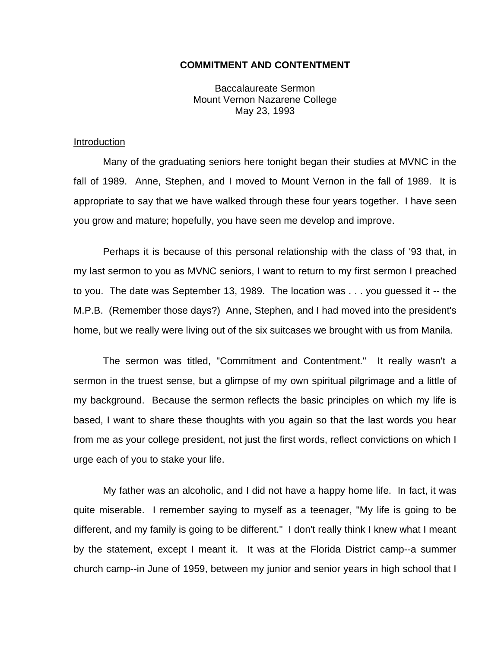## **COMMITMENT AND CONTENTMENT**

Baccalaureate Sermon Mount Vernon Nazarene College May 23, 1993

## Introduction

Many of the graduating seniors here tonight began their studies at MVNC in the fall of 1989. Anne, Stephen, and I moved to Mount Vernon in the fall of 1989. It is appropriate to say that we have walked through these four years together. I have seen you grow and mature; hopefully, you have seen me develop and improve.

Perhaps it is because of this personal relationship with the class of '93 that, in my last sermon to you as MVNC seniors, I want to return to my first sermon I preached to you. The date was September 13, 1989. The location was . . . you guessed it -- the M.P.B. (Remember those days?) Anne, Stephen, and I had moved into the president's home, but we really were living out of the six suitcases we brought with us from Manila.

The sermon was titled, "Commitment and Contentment." It really wasn't a sermon in the truest sense, but a glimpse of my own spiritual pilgrimage and a little of my background. Because the sermon reflects the basic principles on which my life is based, I want to share these thoughts with you again so that the last words you hear from me as your college president, not just the first words, reflect convictions on which I urge each of you to stake your life.

My father was an alcoholic, and I did not have a happy home life. In fact, it was quite miserable. I remember saying to myself as a teenager, "My life is going to be different, and my family is going to be different." I don't really think I knew what I meant by the statement, except I meant it. It was at the Florida District camp--a summer church camp--in June of 1959, between my junior and senior years in high school that I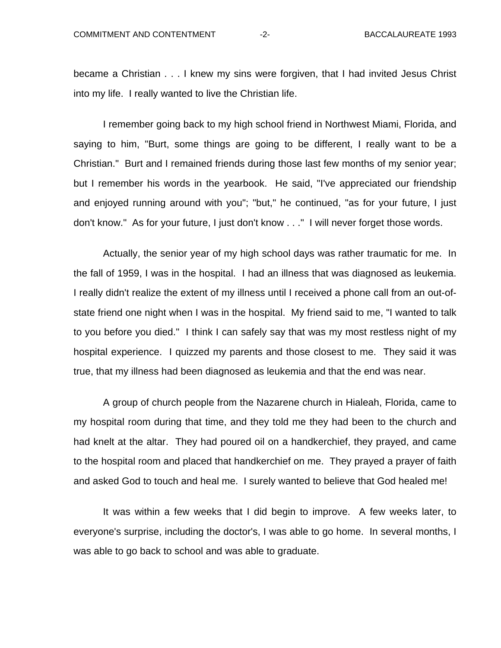became a Christian . . . I knew my sins were forgiven, that I had invited Jesus Christ into my life. I really wanted to live the Christian life.

I remember going back to my high school friend in Northwest Miami, Florida, and saying to him, "Burt, some things are going to be different, I really want to be a Christian." Burt and I remained friends during those last few months of my senior year; but I remember his words in the yearbook. He said, "I've appreciated our friendship and enjoyed running around with you"; "but," he continued, "as for your future, I just don't know." As for your future, I just don't know . . ." I will never forget those words.

Actually, the senior year of my high school days was rather traumatic for me. In the fall of 1959, I was in the hospital. I had an illness that was diagnosed as leukemia. I really didn't realize the extent of my illness until I received a phone call from an out-ofstate friend one night when I was in the hospital. My friend said to me, "I wanted to talk to you before you died." I think I can safely say that was my most restless night of my hospital experience. I quizzed my parents and those closest to me. They said it was true, that my illness had been diagnosed as leukemia and that the end was near.

A group of church people from the Nazarene church in Hialeah, Florida, came to my hospital room during that time, and they told me they had been to the church and had knelt at the altar. They had poured oil on a handkerchief, they prayed, and came to the hospital room and placed that handkerchief on me. They prayed a prayer of faith and asked God to touch and heal me. I surely wanted to believe that God healed me!

It was within a few weeks that I did begin to improve. A few weeks later, to everyone's surprise, including the doctor's, I was able to go home. In several months, I was able to go back to school and was able to graduate.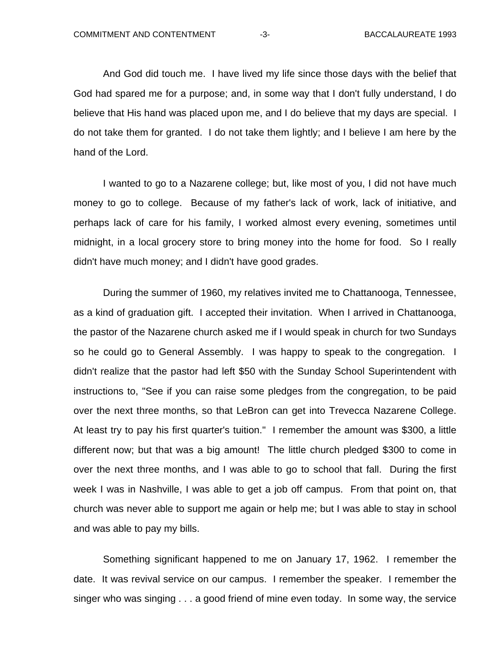And God did touch me. I have lived my life since those days with the belief that God had spared me for a purpose; and, in some way that I don't fully understand, I do believe that His hand was placed upon me, and I do believe that my days are special. I do not take them for granted. I do not take them lightly; and I believe I am here by the hand of the Lord.

I wanted to go to a Nazarene college; but, like most of you, I did not have much money to go to college. Because of my father's lack of work, lack of initiative, and perhaps lack of care for his family, I worked almost every evening, sometimes until midnight, in a local grocery store to bring money into the home for food. So I really didn't have much money; and I didn't have good grades.

During the summer of 1960, my relatives invited me to Chattanooga, Tennessee, as a kind of graduation gift. I accepted their invitation. When I arrived in Chattanooga, the pastor of the Nazarene church asked me if I would speak in church for two Sundays so he could go to General Assembly. I was happy to speak to the congregation. I didn't realize that the pastor had left \$50 with the Sunday School Superintendent with instructions to, "See if you can raise some pledges from the congregation, to be paid over the next three months, so that LeBron can get into Trevecca Nazarene College. At least try to pay his first quarter's tuition." I remember the amount was \$300, a little different now; but that was a big amount! The little church pledged \$300 to come in over the next three months, and I was able to go to school that fall. During the first week I was in Nashville, I was able to get a job off campus. From that point on, that church was never able to support me again or help me; but I was able to stay in school and was able to pay my bills.

Something significant happened to me on January 17, 1962. I remember the date. It was revival service on our campus. I remember the speaker. I remember the singer who was singing . . . a good friend of mine even today. In some way, the service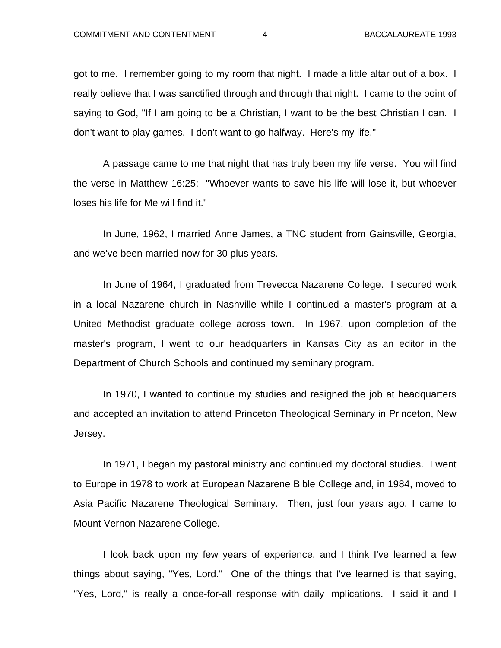got to me. I remember going to my room that night. I made a little altar out of a box. I really believe that I was sanctified through and through that night. I came to the point of saying to God, "If I am going to be a Christian, I want to be the best Christian I can. I don't want to play games. I don't want to go halfway. Here's my life."

A passage came to me that night that has truly been my life verse. You will find the verse in Matthew 16:25: "Whoever wants to save his life will lose it, but whoever loses his life for Me will find it."

In June, 1962, I married Anne James, a TNC student from Gainsville, Georgia, and we've been married now for 30 plus years.

In June of 1964, I graduated from Trevecca Nazarene College. I secured work in a local Nazarene church in Nashville while I continued a master's program at a United Methodist graduate college across town. In 1967, upon completion of the master's program, I went to our headquarters in Kansas City as an editor in the Department of Church Schools and continued my seminary program.

In 1970, I wanted to continue my studies and resigned the job at headquarters and accepted an invitation to attend Princeton Theological Seminary in Princeton, New Jersey.

In 1971, I began my pastoral ministry and continued my doctoral studies. I went to Europe in 1978 to work at European Nazarene Bible College and, in 1984, moved to Asia Pacific Nazarene Theological Seminary. Then, just four years ago, I came to Mount Vernon Nazarene College.

I look back upon my few years of experience, and I think I've learned a few things about saying, "Yes, Lord." One of the things that I've learned is that saying, "Yes, Lord," is really a once-for-all response with daily implications. I said it and I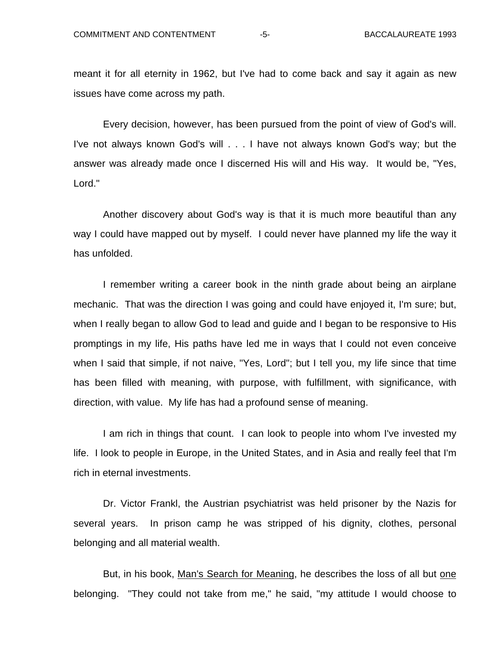meant it for all eternity in 1962, but I've had to come back and say it again as new issues have come across my path.

Every decision, however, has been pursued from the point of view of God's will. I've not always known God's will . . . I have not always known God's way; but the answer was already made once I discerned His will and His way. It would be, "Yes, Lord."

Another discovery about God's way is that it is much more beautiful than any way I could have mapped out by myself. I could never have planned my life the way it has unfolded.

I remember writing a career book in the ninth grade about being an airplane mechanic. That was the direction I was going and could have enjoyed it, I'm sure; but, when I really began to allow God to lead and guide and I began to be responsive to His promptings in my life, His paths have led me in ways that I could not even conceive when I said that simple, if not naive, "Yes, Lord"; but I tell you, my life since that time has been filled with meaning, with purpose, with fulfillment, with significance, with direction, with value. My life has had a profound sense of meaning.

I am rich in things that count. I can look to people into whom I've invested my life. I look to people in Europe, in the United States, and in Asia and really feel that I'm rich in eternal investments.

Dr. Victor Frankl, the Austrian psychiatrist was held prisoner by the Nazis for several years. In prison camp he was stripped of his dignity, clothes, personal belonging and all material wealth.

But, in his book, Man's Search for Meaning, he describes the loss of all but one belonging. "They could not take from me," he said, "my attitude I would choose to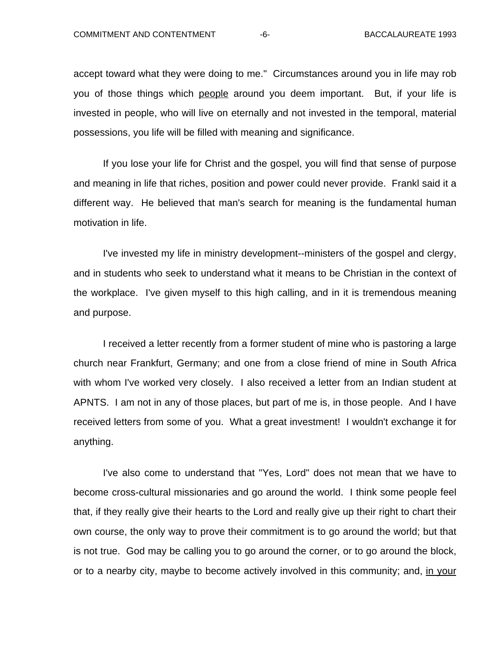accept toward what they were doing to me." Circumstances around you in life may rob you of those things which people around you deem important. But, if your life is invested in people, who will live on eternally and not invested in the temporal, material possessions, you life will be filled with meaning and significance.

If you lose your life for Christ and the gospel, you will find that sense of purpose and meaning in life that riches, position and power could never provide. Frankl said it a different way. He believed that man's search for meaning is the fundamental human motivation in life.

I've invested my life in ministry development--ministers of the gospel and clergy, and in students who seek to understand what it means to be Christian in the context of the workplace. I've given myself to this high calling, and in it is tremendous meaning and purpose.

I received a letter recently from a former student of mine who is pastoring a large church near Frankfurt, Germany; and one from a close friend of mine in South Africa with whom I've worked very closely. I also received a letter from an Indian student at APNTS. I am not in any of those places, but part of me is, in those people. And I have received letters from some of you. What a great investment! I wouldn't exchange it for anything.

I've also come to understand that "Yes, Lord" does not mean that we have to become cross-cultural missionaries and go around the world. I think some people feel that, if they really give their hearts to the Lord and really give up their right to chart their own course, the only way to prove their commitment is to go around the world; but that is not true. God may be calling you to go around the corner, or to go around the block, or to a nearby city, maybe to become actively involved in this community; and, in your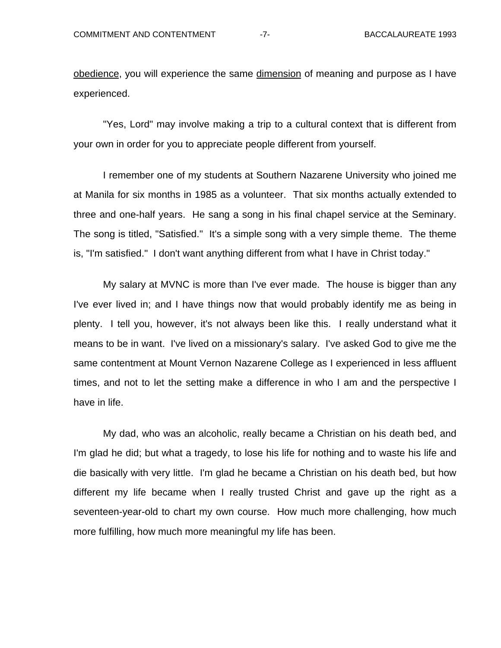obedience, you will experience the same dimension of meaning and purpose as I have experienced.

"Yes, Lord" may involve making a trip to a cultural context that is different from your own in order for you to appreciate people different from yourself.

I remember one of my students at Southern Nazarene University who joined me at Manila for six months in 1985 as a volunteer. That six months actually extended to three and one-half years. He sang a song in his final chapel service at the Seminary. The song is titled, "Satisfied." It's a simple song with a very simple theme. The theme is, "I'm satisfied." I don't want anything different from what I have in Christ today."

My salary at MVNC is more than I've ever made. The house is bigger than any I've ever lived in; and I have things now that would probably identify me as being in plenty. I tell you, however, it's not always been like this. I really understand what it means to be in want. I've lived on a missionary's salary. I've asked God to give me the same contentment at Mount Vernon Nazarene College as I experienced in less affluent times, and not to let the setting make a difference in who I am and the perspective I have in life.

My dad, who was an alcoholic, really became a Christian on his death bed, and I'm glad he did; but what a tragedy, to lose his life for nothing and to waste his life and die basically with very little. I'm glad he became a Christian on his death bed, but how different my life became when I really trusted Christ and gave up the right as a seventeen-year-old to chart my own course. How much more challenging, how much more fulfilling, how much more meaningful my life has been.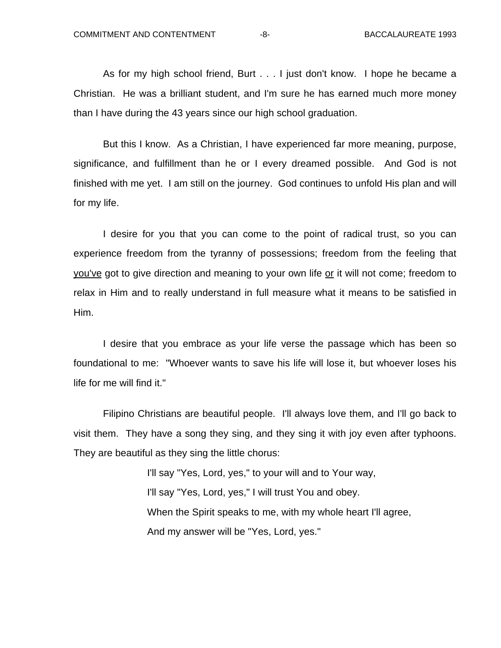As for my high school friend, Burt . . . I just don't know. I hope he became a Christian. He was a brilliant student, and I'm sure he has earned much more money than I have during the 43 years since our high school graduation.

But this I know. As a Christian, I have experienced far more meaning, purpose, significance, and fulfillment than he or I every dreamed possible. And God is not finished with me yet. I am still on the journey. God continues to unfold His plan and will for my life.

I desire for you that you can come to the point of radical trust, so you can experience freedom from the tyranny of possessions; freedom from the feeling that you've got to give direction and meaning to your own life or it will not come; freedom to relax in Him and to really understand in full measure what it means to be satisfied in Him.

I desire that you embrace as your life verse the passage which has been so foundational to me: "Whoever wants to save his life will lose it, but whoever loses his life for me will find it."

Filipino Christians are beautiful people. I'll always love them, and I'll go back to visit them. They have a song they sing, and they sing it with joy even after typhoons. They are beautiful as they sing the little chorus:

> I'll say "Yes, Lord, yes," to your will and to Your way, I'll say "Yes, Lord, yes," I will trust You and obey. When the Spirit speaks to me, with my whole heart I'll agree, And my answer will be "Yes, Lord, yes."